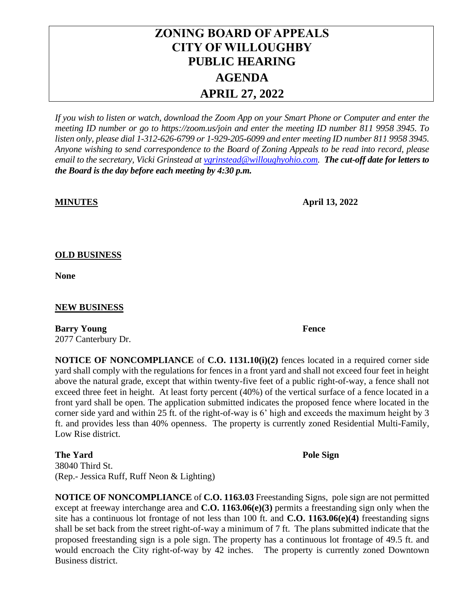# **ZONING BOARD OF APPEALS CITY OF WILLOUGHBY PUBLIC HEARING AGENDA APRIL 27, 2022**

*If you wish to listen or watch, download the Zoom App on your Smart Phone or Computer and enter the meeting ID number or go to https://zoom.us/join and enter the meeting ID number 811 9958 3945. To listen only, please dial 1-312-626-6799 or 1-929-205-6099 and enter meeting ID number 811 9958 3945. Anyone wishing to send correspondence to the Board of Zoning Appeals to be read into record, please email to the secretary, Vicki Grinstead a[t vgrinstead@willoughyohio.com.](mailto:vgrinstead@willoughyohio.com) The cut-off date for letters to the Board is the day before each meeting by 4:30 p.m.* 

**MINUTES April 13, 2022**

## **OLD BUSINESS**

**None**

### **NEW BUSINESS**

**Barry Young Fence** 2077 Canterbury Dr.

**NOTICE OF NONCOMPLIANCE** of **C.O. 1131.10(i)(2)** fences located in a required corner side yard shall comply with the regulations for fences in a front yard and shall not exceed four feet in height above the natural grade, except that within twenty-five feet of a public right-of-way, a fence shall not exceed three feet in height. At least forty percent (40%) of the vertical surface of a fence located in a front yard shall be open. The application submitted indicates the proposed fence where located in the corner side yard and within 25 ft. of the right-of-way is 6' high and exceeds the maximum height by 3 ft. and provides less than 40% openness. The property is currently zoned Residential Multi-Family, Low Rise district.

**The Yard Pole Sign** 38040 Third St. (Rep.- Jessica Ruff, Ruff Neon & Lighting)

**NOTICE OF NONCOMPLIANCE** of **C.O. 1163.03** Freestanding Signs, pole sign are not permitted except at freeway interchange area and **C.O. 1163.06(e)(3)** permits a freestanding sign only when the site has a continuous lot frontage of not less than 100 ft. and **C.O. 1163.06(e)(4)** freestanding signs shall be set back from the street right-of-way a minimum of 7 ft. The plans submitted indicate that the proposed freestanding sign is a pole sign. The property has a continuous lot frontage of 49.5 ft. and would encroach the City right-of-way by 42 inches. The property is currently zoned Downtown Business district.